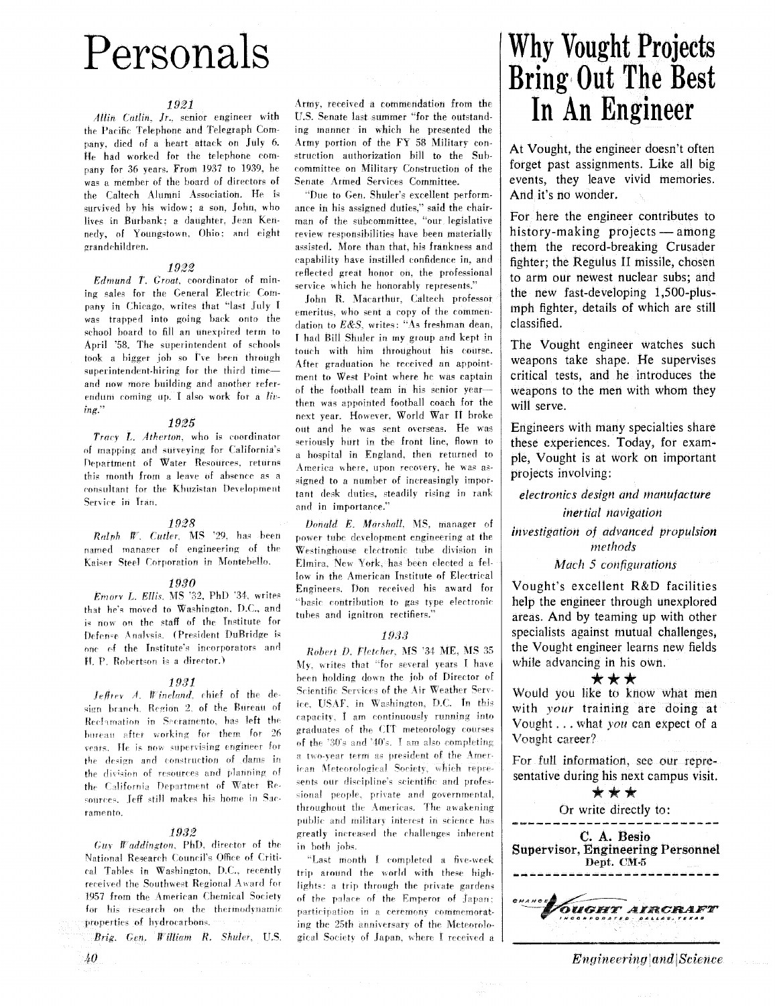# Personals

#### 1921

Allin Catlin, Jr., senior engineer with the Pacific Telephone and Telegraph Company, died of a heart attack on July 6. He had worked for the telephone company for 36 years. From 1937 to 1939, he was a member of the board of directors of the Caltech Alumni Association. He is survived by his widow; a son, John, who lives in Burbank: a daughter, Jean Kennedy, of Youngstown, Ohio; and eight grandchildren.

#### 1922

Edmund T. Groat, coordinator of mining sales for the General Electric Company in Chicago, writes that "last July I was trapped into going back onto the school board to fill an unexpired term to April '58. The superintendent of schools took a bigger job so I've been through superintendent-hiring for the third timeand now more building and another referendum coming up. I also work for a living."

### 1925

Tracy L. Atherton, who is coordinator of mapping and surveying for California's Department of Water Resources, returns this month from a leave of absence as a consultant for the Khuzistan Development Service in Iran.

#### 1928

Ralph W. Cutler, MS '29, has been named manager of engineering of the Kaiser Steel Corporation in Montebello.

#### 1930

Emory L. Ellis, MS '32, PhD '34, writes that he's moved to Washington, D.C., and is now on the staff of the Institute for Defense Analysis. (President DuBridge is one of the Institute's incorporators and H. P. Robertson is a director.)

### 1931

 $I$ eftrey A. Wineland, chief of the design branch. Region 2, of the Bureau of Reclamation in Sacramento, has left the bureau after working for them for 26 vears. He is now supervising engineer for the design and construction of dams in the division of resources and planning of the California Department of Water Resources. Jeff still makes his home in Sacramento.

#### 1932

 $Guy$  Waddington, PhD, director of the National Research Council's Office of Critical Tables in Washington, D.C., recently received the Southwest Regional Award for 1957 from the American Chemical Society for his research on the thermodynamic properties of hydrocarbons.

Brig. Gen. William R. Shuler, U.S.

40

Army, received a commendation from the U.S. Senate last summer "for the outstanding manner in which he presented the Army portion of the FY 58 Military construction authorization bill to the Subcommittee on Military Construction of the Senate Armed Services Committee.

"Due to Gen. Shuler's excellent performance in his assigned duties," said the chairman of the subcommittee, "our legislative review responsibilities have been materially assisted. More than that, his frankness and capability have instilled confidence in, and reflected great honor on, the professional service which he honorably represents."

John R. Macarthur, Caltech professor emeritus, who sent a copy of the commendation to E&S, writes: "As freshman dean, I had Bill Shuler in my group and kept in touch with him throughout his course. After graduation he received an appointment to West Point where he was captain of the football team in his senior yearthen was appointed football coach for the next year. However, World War II broke out and he was sent overseas. He was seriously hurt in the front line, flown to a hospital in England, then returned to America where, upon recovery, he was assigned to a number of increasingly important desk duties, steadily rising in rank and in importance."

Donald E. Marshall, MS. manager of power tube development engineering at the Westinghouse electronic tube division in Elmira, New York, has been elected a fellow in the American Institute of Electrical Engineers. Don received his award for "basic contribution to gas type electronic tubes and ignitron rectifiers.'

#### 1933

Robert D. Fletcher, MS '34 ME, MS 35 My, writes that "for several years I have been holding down the job of Director of Scientific Services of the Air Weather Service, USAF, in Washington, D.C. In this capacity, I am continuously running into graduates of the CIT meteorology courses of the '30's and '40's. I am also completing a two-year term as president of the American Meteorological Society, which represents our discipline's scientific and professional people, private and governmental, throughout the Americas. The awakening public and military interest in science has greatly increased the challenges inherent in both jobs.

"Last month I completed a five-week trip around the world with these highlights: a trip through the private gardens of the palace of the Emperor of Japan; participation in a ceremony commemorating the 25th anniversary of the Meteorological Society of Japan, where I received a

# **Why Vought Projects Bring Out The Best** In An Engineer

At Vought, the engineer doesn't often forget past assignments. Like all big events, they leave vivid memories. And it's no wonder.

For here the engineer contributes to history-making projects — among them the record-breaking Crusader fighter; the Regulus II missile, chosen to arm our newest nuclear subs; and the new fast-developing 1,500-plusmph fighter, details of which are still classified.

The Vought engineer watches such weapons take shape. He supervises critical tests, and he introduces the weapons to the men with whom they will serve.

Engineers with many specialties share these experiences. Today, for example, Vought is at work on important projects involving:

electronics design and manufacture inertial navigation investigation of advanced propulsion

methods

Mach 5 configurations

Vought's excellent R&D facilities help the engineer through unexplored areas. And by teaming up with other specialists against mutual challenges, the Vought engineer learns new fields while advancing in his own.

\*\*\*

Would you like to know what men with your training are doing at Vought . . . what you can expect of a Vought career?

For full information, see our representative during his next campus visit.



*Engineering* and *Science*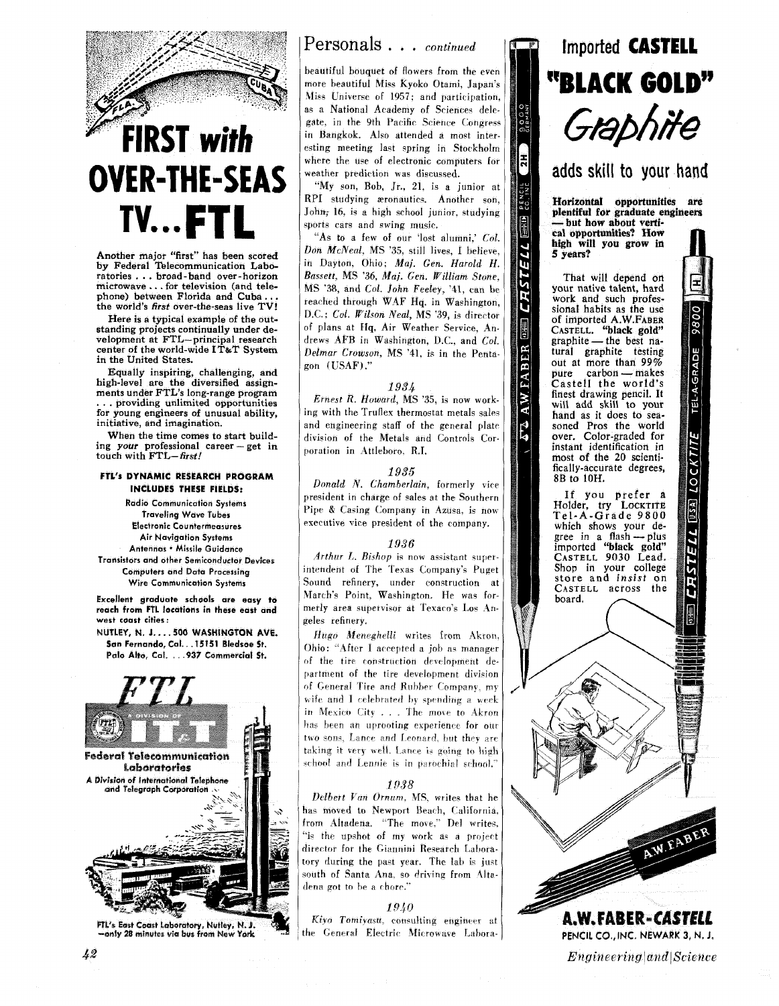

# **FIRST** with **OVER-THE-SEAS TV. ..FTL**

**Another major "first" has been scored by Federal Telecommunication Laboratories** . . . **broad-band over-horizon microwave** . . . **for television (and telephone) between Florida and Cuba..** . **the world's** *first* **over-the-seas live** *TV!* 

**Here is a typical example of the outstanding projects continually under development at FTL-principal research center of the world-wide IT&T System in the United States.** 

**Equally inspiring, challenging, and high-level are the diversified assign-**<br>ments under FTL's long-range program<br>
. . . providing unlimited opportunities **for young engineers of unusual ability, initiative, and imagination.** 

**When the time comes to start building your professional career** - **get in touch with** *FTL-first!* 

#### **FTL's DYNAMIC RESEARCH PROGRAM INCLUDES THESE FIELDS:**

**Radio Communication Systems Traveling Wave Tubes Electronic Countermeasures Air Navigation Systems Antennas** . **Missile Guidance Transistors and other Semiconductor Devices Computers and Data Processing Wire Communication Systems** 

**Excellent graduate schools are easy to reach from FTL locations in these east and west coast cities** :

**NUTLEY, N.** *8..* . **.500 WASHINGTON AVE. Sin Fernando, Cal.. .15151 Bledsoe St. Polo Alto, Cal.** . . **.937 Commercial St.** 



-only 28 minutes via bus from New York

### Personals . . . *continued*

beautiful bouquet of flowers from the even more beautiful Miss Kyoko Otami, Japan's Miss Universe of 1957; and participation, as a National Academy of Sciences delegate, in the 9th Pacific Science Congress in Bangkok. Also attended a most interesting meeting last spring in Stockholm where the use of electronic computers for weather prediction was discussed.

"My con, Bob, Jr., 21. is a junior at RPI studying æronautics. Another son, John; 16, is a high school junior, studying sports cars and swing music.

"As to a few of our 'lost alumni,' Col. Don McNeal, MS **'35,** still lives, **I** helieve. in Dayton, Ohio; Maj. Gen. Harold H. Bassett, MS '36, Maj. Gen. William Stone, MS **'38,** and Col. John Feeley, '41, can he reached through W4F Hq. in Washington, D.C.; Col. Wilson Neal, MS '39, is director of plans at Hq, Air Weather Service, Andrews AFB in Washington, **D.C.,** and Col. Delmar Crowson, MS '41, is in the Pentagon ( USAF) ."

#### *1934*

Ernest R. Howard, MS **'35,** is now working with the Truflex thermostat metals sales and engineering staff of the general plate division of the Metals and Controls Corporation in Attleboro. R.I.

### *1935*

Donald *V.* Chamberlain, formerly vice president in charge of sales at the Southern Pipe & Casing Company in Azusa, is now executive vice president of the company.

#### *1936*

Arthur L. Bishop is now assistant superintendent of The Texas Company's Puget Sound refinery, under construction at March's Point, Washington. He was formerly area supervisor at Texaco's Los Angeles refinery.

Hugo Meneghelli writes from Akron. Ohio: "After  $1$  accepted a job as manager of the tire construction development department of the tire development division of General Tire and Rubber Company, my wife and I celebrated by spending a week in Mexico City . . . The move to Akron has been an uprooting experience for our two sons, Lance and Leonard, but they are taking it very well. Lance is going to high school and Lennie is in parochial school."

#### *D38*

Delbert Van Ornum, MS, writes that he has moved to Newport Beach, California, from Altadena. "The move," Del writes. "is the upshot of my work as a project director for the Giannini Research Laboraory during the past year. The lab is just south of Santa Ana, so driving from Altadena got to be a chore.'

#### *19\$0*

Kiyo Tomiyasu, consulting engineer at the General Electric Microwave Labora-



## adds skill to your hand

Horizontal opportunities are plentiful for graduate engineers — but how about verti-<br>cal opportunities? How high will you grow in **5 years?** 

PENCIL<br>CO., INC.

Ê

ELL

**CRST** 

**OHIE** 

A.W. FABER

 $\overline{A}$ 

**That will depend on your native talent, hard work and such professional habits as the use of imported A.W.FABER CASTELL. "black gold"**  solar nations as the best na-<br>CASTELL. "black gold"<br>graphite — the best na-<br>tural graphite testing **out at more than 99% pure carbon** - **makes**<br> **castell** the world's<br> **Castell** the world's **finest drawing pencil. It**  will add skill to your hand as it does to seasoned Pros the world **over. Color-graded for instant identification in most of the 20 scientifically-accurate degrees, 8B to 10H.** 

**If you prefer a Holder, try LOCKTITE Tel-A-Grade 9800 which shows your degree in a** flash **-plus imported "black gold" CASTELL 9030 Lead. Shop in your college CASTELL across the** board.

**CKTITE** 

 $\tilde{c}$ 

 $[0.5A]$ 

**CRSTELL** 



W. FABE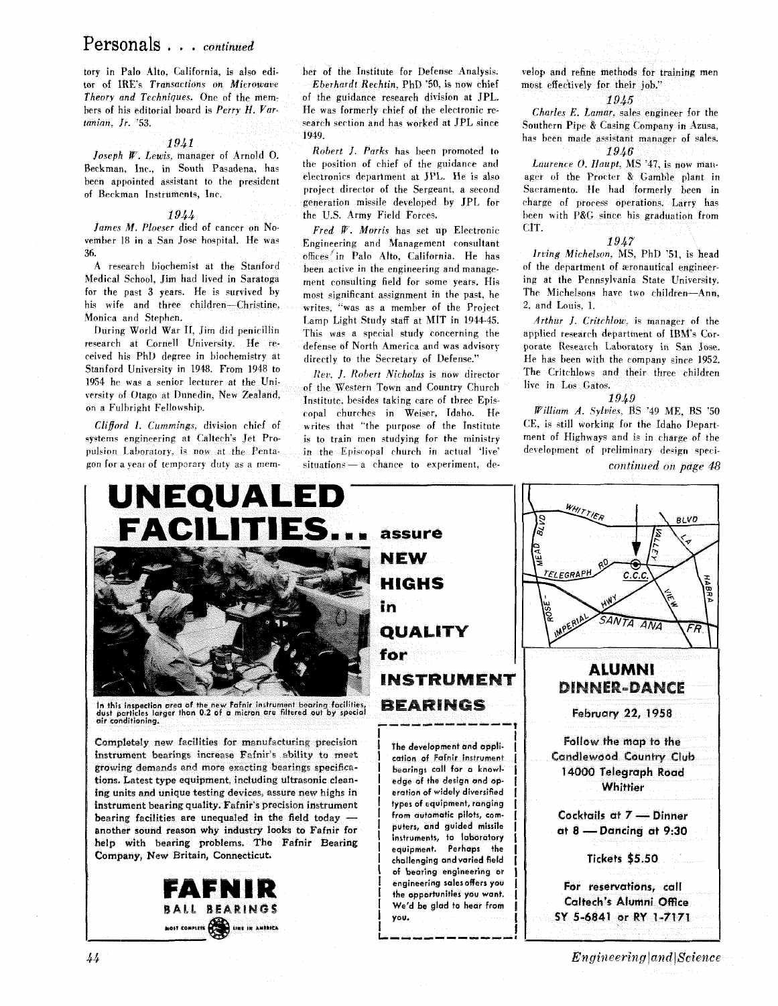## Personals . . . *continued*

tory in Palo Alto. California, is also edi-<br>tor of IRE's Transactions on Microwave - Eberhardt Rechtin, PhD '50, is now chief tor of IRE's Transactions on Microwave Theory and Techniques. One of the mem-

been appointed assistant to the president of Beckman Instruments, Inc.

*1944* **the U.S. Army Field Forces.**<br>*James M. Ploeser* died of cancer on No-**Fred W. Morris** has set a *James M. Ploeser* died of cancer on No-<br> **Fred W. Morris has set up Electronic**<br> **Register on San José hospital.** He was<br> **Register and Management** consultant

A research biochemist at the Stanford been active in the engineering and manage-<br>Medical School, Jim had lived in Saratoga ment consulting field for some vears. His Medical School, Jim had lived in Saratoga ment consulting field for some years. His for the past 3 years. He is survived by most significant assignment in the past, he<br>his wife and three children—Christine, writes "was as a member of the Project his wife and three children-Christine, writes, \*\*was as a member of the Project Monica and Stephen.<br> **A** the Light Study staff at MIT in 1944.45

During World War 11, Jim did penicillin This was a special study concerning the research at Cornell University. He reresearch at Cornell University. He re- defense of North America and was advisory<br>ceived his PhD degree in biochemistry at a directly to the Secretary of Defense." ceived his PhD degree in biochemistry at directly to the Secretary of Defense."<br>Stanford University in 1948. From 1948 to Rev. J. Robert Nicholas is now director<br>1954 he was a senior lecturer at the University of the West

systems engineering at Caltech's Jet Pro-<br>pulsion Laboratory, is now at the Pentapulsion Laboratory, is now at the Penta- in the Episcopal church in actual 'live'<br>gon for a year of temporary duty as a mem-<br>situations-a chance to experiment, de-

*Theory and Techniques.* One of the mem- of the guidance research division at JPL.<br>bers of his editorial board is *Perry H. Var*. He was formerly chief of the electronic rehers of his editorial board is *Perry H. Var*- He was formerly chief of the electronic re-<br> **Alternation**  $f_r$ . '53. search section and has worked at JPL since<br>1949.

1941<br>*Robert J. Parks* has been promoted to Joseph W. Lewis, manager of Arnold  $\overline{0}$ . Robert J. Parks has been promoted to the guidance and Beckman, Inc., in South Pasadena, has the position of chief of the guidance and project director of the Sergeant. a second generation missile developed hy JPL for

vember 18 in a San Jose hospital. He was Engineering and Management consultant **36. 36. 2016**<br>A research biochemist at the Stanford been setive in the engineering and manage. onica and Stephen.<br>During World War II, Jim did penicillin This was a special study concerning the

of the Western Town and Country Church trersity of Otago at Dunedin, New Zealand, Institute, besides taking care of three Epis-<br>on a Fulbright Fellowship.<br>*Clifford I. Cummings*, division chief of writes that "the purpose of the Institute writes that "the purpose of the Institute<br>is to train men studying for the ministry  $situations - a$  chance to experiment, develop and refine methods for training men most effectively for their job."

#### *19A5*

Charles E. Lamar, sales engineer for the Southern Pipe & Casing Company in Azusa, has been made assistant manager of sales. 1946

Laurence *O. Haupt*, MS '47, is now manager of the Procter & Gamble plant in Sacramento. He had formerly been in charge of process operations. Larry has been with **P&G** since his graduation from CIT.

#### *1947*

Irving Michelson, MS, PhD '51, is head of the department of æronautical engineering at the Pennsylvania State University. The Michelsons have two children-Ann.  $2$ , and Louis,  $1$ .

ceived his PhD degree in biochemistry at  $\frac{d}{dt}$  directly to the Secretary of Defense." He has been with the company since 1952. Arthur **3.** Critchlow. **is** manager of the applied research department of IBM's Corporate Research Laboratory in San Jose. The Critchlows and their three children live in Los Gatos.

*19^9*  William A. Syluies, BS '49 ME, BS '50 CE, is still working for the Idaho Department of Highways and is in charge of the development of preliminary design speci-

*continued on page 48*